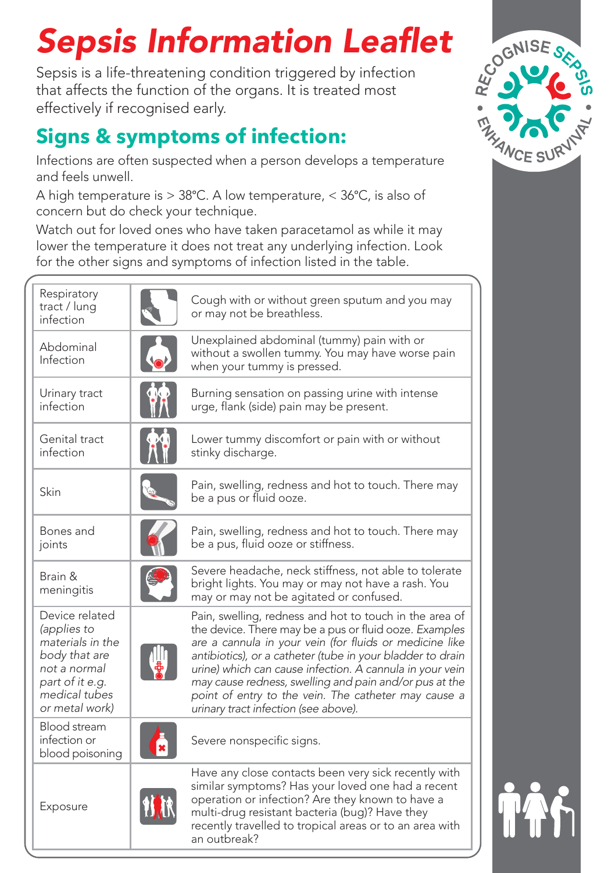# Sepsis Information Leaflet

Sepsis is a life-threatening condition triggered by infection that affects the function of the organs. It is treated most effectively if recognised early.

## **Signs & symptoms of infection:**

Infections are often suspected when a person develops a temperature and feels unwell.

A high temperature is > 38°C. A low temperature, < 36°C, is also of concern but do check your technique.

Watch out for loved ones who have taken paracetamol as while it may lower the temperature it does not treat any underlying infection. Look for the other signs and symptoms of infection listed in the table.

| Respiratory<br>tract / lung<br>infection                                                                                                 | Cough with or without green sputum and you may<br>or may not be breathless.                                                                                                                                                                                                                                                                                                                                                                                      |  |
|------------------------------------------------------------------------------------------------------------------------------------------|------------------------------------------------------------------------------------------------------------------------------------------------------------------------------------------------------------------------------------------------------------------------------------------------------------------------------------------------------------------------------------------------------------------------------------------------------------------|--|
| Abdominal<br>Infection                                                                                                                   | Unexplained abdominal (tummy) pain with or<br>without a swollen tummy. You may have worse pain<br>when your tummy is pressed.                                                                                                                                                                                                                                                                                                                                    |  |
| Urinary tract<br>infection                                                                                                               | Burning sensation on passing urine with intense<br>urge, flank (side) pain may be present.                                                                                                                                                                                                                                                                                                                                                                       |  |
| Genital tract<br>infection                                                                                                               | Lower tummy discomfort or pain with or without<br>stinky discharge.                                                                                                                                                                                                                                                                                                                                                                                              |  |
| Skin                                                                                                                                     | Pain, swelling, redness and hot to touch. There may<br>be a pus or fluid ooze.                                                                                                                                                                                                                                                                                                                                                                                   |  |
| Bones and<br>joints                                                                                                                      | Pain, swelling, redness and hot to touch. There may<br>be a pus, fluid ooze or stiffness.                                                                                                                                                                                                                                                                                                                                                                        |  |
| Brain &<br>meningitis                                                                                                                    | Severe headache, neck stiffness, not able to tolerate<br>bright lights. You may or may not have a rash. You<br>may or may not be agitated or confused.                                                                                                                                                                                                                                                                                                           |  |
| Device related<br>(applies to<br>materials in the<br>body that are<br>not a normal<br>part of it e.g.<br>medical tubes<br>or metal work) | Pain, swelling, redness and hot to touch in the area of<br>the device. There may be a pus or fluid ooze. Examples<br>are a cannula in your vein (for fluids or medicine like<br>antibiotics), or a catheter (tube in your bladder to drain<br>urine) which can cause infection. A cannula in your vein<br>may cause redness, swelling and pain and/or pus at the<br>point of entry to the vein. The catheter may cause a<br>urinary tract infection (see above). |  |
| Blood stream<br>infection or<br>blood poisoning                                                                                          | Severe nonspecific signs.                                                                                                                                                                                                                                                                                                                                                                                                                                        |  |
| Exposure                                                                                                                                 | Have any close contacts been very sick recently with<br>similar symptoms? Has your loved one had a recent<br>operation or infection? Are they known to have a<br>multi-drug resistant bacteria (bug)? Have they<br>recently travelled to tropical areas or to an area with<br>an outbreak?                                                                                                                                                                       |  |